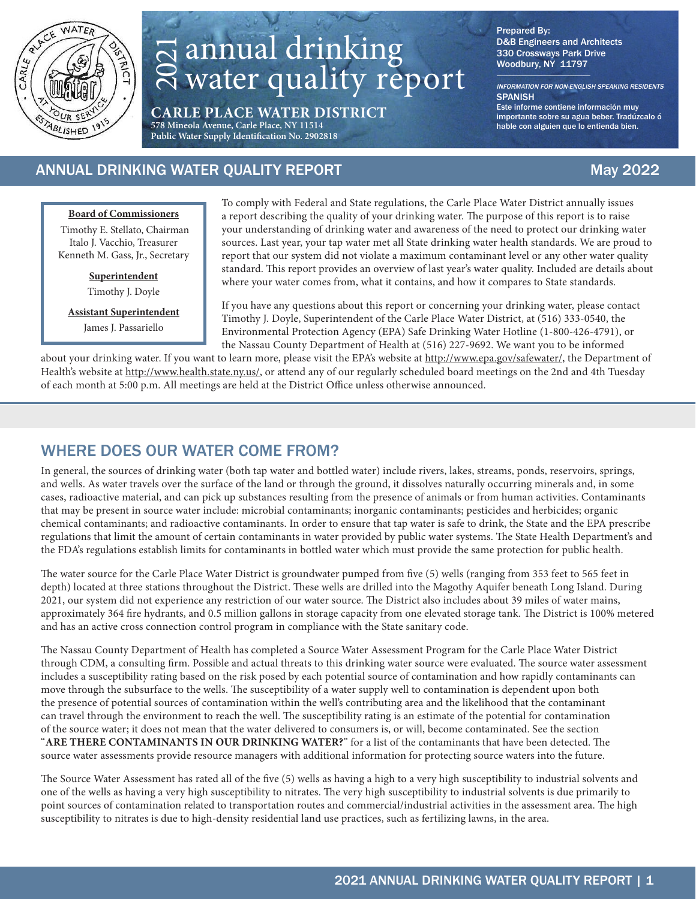

# annual drinking water quality report

**CARLE PLACE WATER DISTRICT 578 Mineola Avenue, Carle Place, NY 11514 Public Water Supply Identification No. 2902818**

Prepared By: D&B Engineers and Architects 330 Crossways Park Drive Woodbury, NY 11797

INFORMATION FOR NON-ENGLISH SPEAKING RESIDENTS **SPANISH** Este informe contiene información muy importante sobre su agua beber. Tradúzcalo ó

hable con alguien que lo entienda bien.

### ANNUAL DRINKING WATER QUALITY REPORT AND MALLIES AND MAXIMUSE MAY 2022

#### **Board of Commissioners**

 Timothy E. Stellato, Chairman Italo J. Vacchio, Treasurer Kenneth M. Gass, Jr., Secretary

> **Superintendent** Timothy J. Doyle

**Assistant Superintendent**

James J. Passariello

To comply with Federal and State regulations, the Carle Place Water District annually issues a report describing the quality of your drinking water. The purpose of this report is to raise your understanding of drinking water and awareness of the need to protect our drinking water sources. Last year, your tap water met all State drinking water health standards. We are proud to report that our system did not violate a maximum contaminant level or any other water quality standard. This report provides an overview of last year's water quality. Included are details about where your water comes from, what it contains, and how it compares to State standards.

If you have any questions about this report or concerning your drinking water, please contact Timothy J. Doyle, Superintendent of the Carle Place Water District, at (516) 333-0540, the Environmental Protection Agency (EPA) Safe Drinking Water Hotline (1-800-426-4791), or the Nassau County Department of Health at (516) 227-9692. We want you to be informed

about your drinking water. If you want to learn more, please visit the EPA's website at http://www.epa.gov/safewater/, the Department of Health's website at http://www.health.state.ny.us/, or attend any of our regularly scheduled board meetings on the 2nd and 4th Tuesday of each month at 5:00 p.m. All meetings are held at the District Office unless otherwise announced.

### WHERE DOES OUR WATER COME FROM?

In general, the sources of drinking water (both tap water and bottled water) include rivers, lakes, streams, ponds, reservoirs, springs, and wells. As water travels over the surface of the land or through the ground, it dissolves naturally occurring minerals and, in some cases, radioactive material, and can pick up substances resulting from the presence of animals or from human activities. Contaminants that may be present in source water include: microbial contaminants; inorganic contaminants; pesticides and herbicides; organic chemical contaminants; and radioactive contaminants. In order to ensure that tap water is safe to drink, the State and the EPA prescribe regulations that limit the amount of certain contaminants in water provided by public water systems. The State Health Department's and the FDA's regulations establish limits for contaminants in bottled water which must provide the same protection for public health.

The water source for the Carle Place Water District is groundwater pumped from five (5) wells (ranging from 353 feet to 565 feet in depth) located at three stations throughout the District. These wells are drilled into the Magothy Aquifer beneath Long Island. During 2021, our system did not experience any restriction of our water source. The District also includes about 39 miles of water mains, approximately 364 fire hydrants, and 0.5 million gallons in storage capacity from one elevated storage tank. The District is 100% metered and has an active cross connection control program in compliance with the State sanitary code.

The Nassau County Department of Health has completed a Source Water Assessment Program for the Carle Place Water District through CDM, a consulting firm. Possible and actual threats to this drinking water source were evaluated. The source water assessment includes a susceptibility rating based on the risk posed by each potential source of contamination and how rapidly contaminants can move through the subsurface to the wells. The susceptibility of a water supply well to contamination is dependent upon both the presence of potential sources of contamination within the well's contributing area and the likelihood that the contaminant can travel through the environment to reach the well. The susceptibility rating is an estimate of the potential for contamination of the source water; it does not mean that the water delivered to consumers is, or will, become contaminated. See the section "**ARE THERE CONTAMINANTS IN OUR DRINKING WATER?**" for a list of the contaminants that have been detected. The source water assessments provide resource managers with additional information for protecting source waters into the future. SUS ARTER CONTERN DIRE FROM THE BURE CONTERN CONTERN CONTERN (SURFACE IN the area. 2021) and the area. 2021 and the area. 2021 and the area. 2021 and the area. 2021 and the area. 2021 and the area. 2021 and the area. 2021

The Source Water Assessment has rated all of the five (5) wells as having a high to a very high susceptibility to industrial solvents and one of the wells as having a very high susceptibility to nitrates. The very high susceptibility to industrial solvents is due primarily to point sources of contamination related to transportation routes and commercial/industrial activities in the assessment area. The high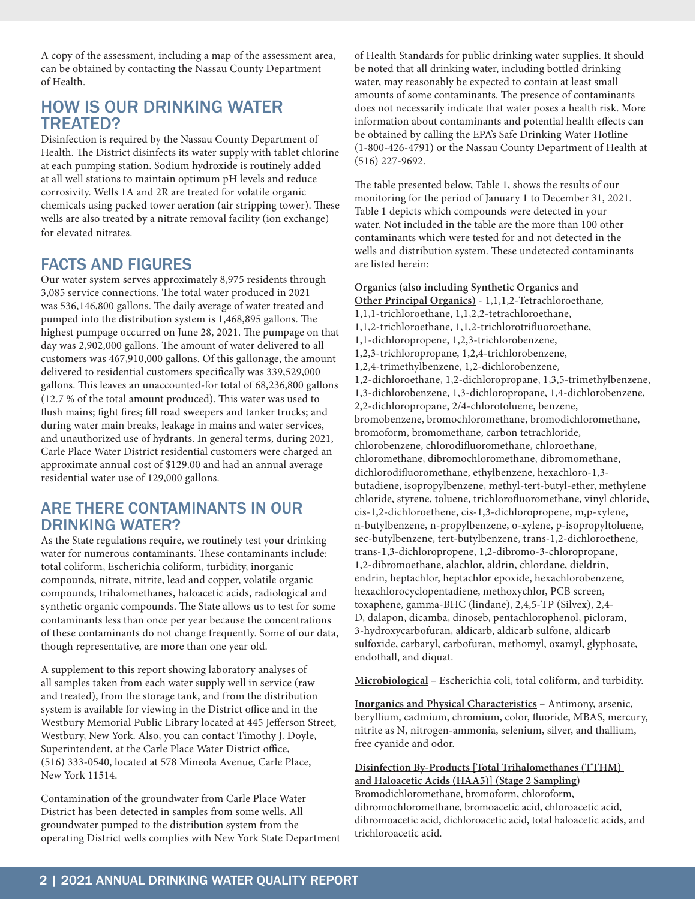A copy of the assessment, including a map of the assessment area, can be obtained by contacting the Nassau County Department of Health.

#### HOW IS OUR DRINKING WATER TREATED?

Disinfection is required by the Nassau County Department of Health. The District disinfects its water supply with tablet chlorine at each pumping station. Sodium hydroxide is routinely added at all well stations to maintain optimum pH levels and reduce corrosivity. Wells 1A and 2R are treated for volatile organic chemicals using packed tower aeration (air stripping tower). These wells are also treated by a nitrate removal facility (ion exchange) for elevated nitrates.

### FACTS AND FIGURES

Our water system serves approximately 8,975 residents through 3,085 service connections. The total water produced in 2021 was 536,146,800 gallons. The daily average of water treated and pumped into the distribution system is 1,468,895 gallons. The highest pumpage occurred on June 28, 2021. The pumpage on that day was 2,902,000 gallons. The amount of water delivered to all customers was 467,910,000 gallons. Of this gallonage, the amount delivered to residential customers specifically was 339,529,000 gallons. This leaves an unaccounted-for total of 68,236,800 gallons (12.7 % of the total amount produced). This water was used to flush mains; fight fires; fill road sweepers and tanker trucks; and during water main breaks, leakage in mains and water services, and unauthorized use of hydrants. In general terms, during 2021, Carle Place Water District residential customers were charged an approximate annual cost of \$129.00 and had an annual average residential water use of 129,000 gallons.

#### ARE THERE CONTAMINANTS IN OUR DRINKING WATER?

As the State regulations require, we routinely test your drinking water for numerous contaminants. These contaminants include: total coliform, Escherichia coliform, turbidity, inorganic compounds, nitrate, nitrite, lead and copper, volatile organic compounds, trihalomethanes, haloacetic acids, radiological and synthetic organic compounds. The State allows us to test for some contaminants less than once per year because the concentrations of these contaminants do not change frequently. Some of our data, though representative, are more than one year old.

A supplement to this report showing laboratory analyses of all samples taken from each water supply well in service (raw and treated), from the storage tank, and from the distribution system is available for viewing in the District office and in the Westbury Memorial Public Library located at 445 Jefferson Street, Westbury, New York. Also, you can contact Timothy J. Doyle, Superintendent, at the Carle Place Water District office, (516) 333-0540, located at 578 Mineola Avenue, Carle Place, New York 11514.

Contamination of the groundwater from Carle Place Water District has been detected in samples from some wells. All groundwater pumped to the distribution system from the operating District wells complies with New York State Department of Health Standards for public drinking water supplies. It should be noted that all drinking water, including bottled drinking water, may reasonably be expected to contain at least small amounts of some contaminants. The presence of contaminants does not necessarily indicate that water poses a health risk. More information about contaminants and potential health effects can be obtained by calling the EPA's Safe Drinking Water Hotline (1-800-426-4791) or the Nassau County Department of Health at (516) 227-9692.

The table presented below, Table 1, shows the results of our monitoring for the period of January 1 to December 31, 2021. Table 1 depicts which compounds were detected in your water. Not included in the table are the more than 100 other contaminants which were tested for and not detected in the wells and distribution system. These undetected contaminants are listed herein:

#### **Organics (also including Synthetic Organics and**

**Other Principal Organics)** - 1,1,1,2-Tetrachloroethane, 1,1,1-trichloroethane, 1,1,2,2-tetrachloroethane, 1,1,2-trichloroethane, 1,1,2-trichlorotrifluoroethane, 1,1-dichloropropene, 1,2,3-trichlorobenzene, 1,2,3-trichloropropane, 1,2,4-trichlorobenzene, 1,2,4-trimethylbenzene, 1,2-dichlorobenzene, 1,2-dichloroethane, 1,2-dichloropropane, 1,3,5-trimethylbenzene, 1,3-dichlorobenzene, 1,3-dichloropropane, 1,4-dichlorobenzene, 2,2-dichloropropane, 2/4-chlorotoluene, benzene, bromobenzene, bromochloromethane, bromodichloromethane, bromoform, bromomethane, carbon tetrachloride, chlorobenzene, chlorodifluoromethane, chloroethane, chloromethane, dibromochloromethane, dibromomethane, dichlorodifluoromethane, ethylbenzene, hexachloro-1,3 butadiene, isopropylbenzene, methyl-tert-butyl-ether, methylene chloride, styrene, toluene, trichlorofluoromethane, vinyl chloride, cis-1,2-dichloroethene, cis-1,3-dichloropropene, m,p-xylene, n-butylbenzene, n-propylbenzene, o-xylene, p-isopropyltoluene, sec-butylbenzene, tert-butylbenzene, trans-1,2-dichloroethene, trans-1,3-dichloropropene, 1,2-dibromo-3-chloropropane, 1,2-dibromoethane, alachlor, aldrin, chlordane, dieldrin, endrin, heptachlor, heptachlor epoxide, hexachlorobenzene, hexachlorocyclopentadiene, methoxychlor, PCB screen, toxaphene, gamma-BHC (lindane), 2,4,5-TP (Silvex), 2,4- D, dalapon, dicamba, dinoseb, pentachlorophenol, picloram, 3-hydroxycarbofuran, aldicarb, aldicarb sulfone, aldicarb sulfoxide, carbaryl, carbofuran, methomyl, oxamyl, glyphosate, endothall, and diquat.

**Microbiological** – Escherichia coli, total coliform, and turbidity.

**Inorganics and Physical Characteristics** – Antimony, arsenic, beryllium, cadmium, chromium, color, fluoride, MBAS, mercury, nitrite as N, nitrogen-ammonia, selenium, silver, and thallium, free cyanide and odor.

**Disinfection By-Products [Total Trihalomethanes (TTHM) and Haloacetic Acids (HAA5)] (Stage 2 Sampling)** 

Bromodichloromethane, bromoform, chloroform, dibromochloromethane, bromoacetic acid, chloroacetic acid, dibromoacetic acid, dichloroacetic acid, total haloacetic acids, and trichloroacetic acid.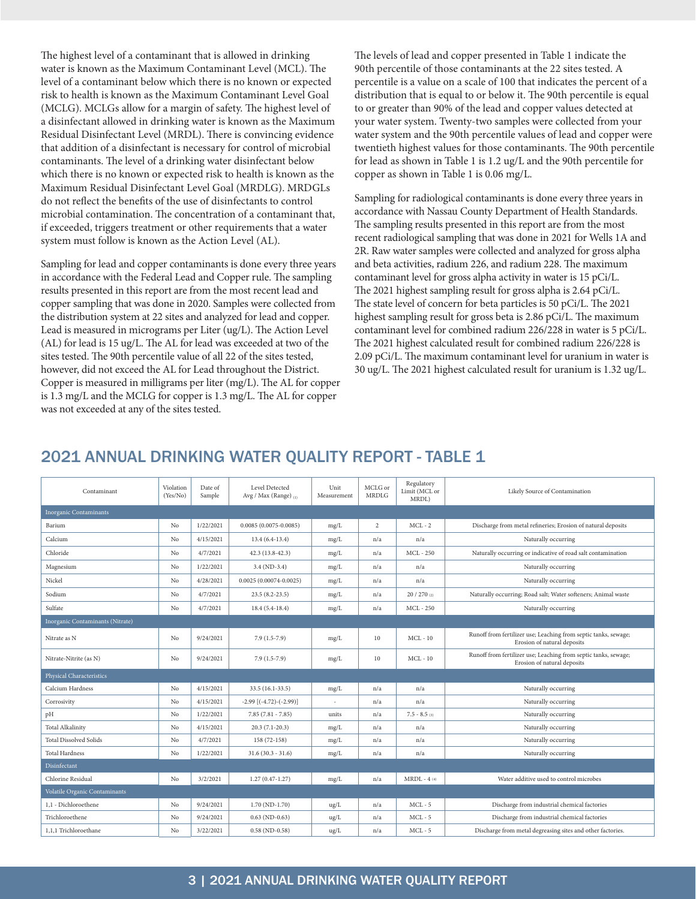The highest level of a contaminant that is allowed in drinking water is known as the Maximum Contaminant Level (MCL). The level of a contaminant below which there is no known or expected risk to health is known as the Maximum Contaminant Level Goal (MCLG). MCLGs allow for a margin of safety. The highest level of a disinfectant allowed in drinking water is known as the Maximum Residual Disinfectant Level (MRDL). There is convincing evidence that addition of a disinfectant is necessary for control of microbial contaminants. The level of a drinking water disinfectant below which there is no known or expected risk to health is known as the Maximum Residual Disinfectant Level Goal (MRDLG). MRDGLs do not reflect the benefits of the use of disinfectants to control microbial contamination. The concentration of a contaminant that, if exceeded, triggers treatment or other requirements that a water system must follow is known as the Action Level (AL).

Sampling for lead and copper contaminants is done every three years in accordance with the Federal Lead and Copper rule. The sampling results presented in this report are from the most recent lead and copper sampling that was done in 2020. Samples were collected from the distribution system at 22 sites and analyzed for lead and copper. Lead is measured in micrograms per Liter (ug/L). The Action Level (AL) for lead is 15 ug/L. The AL for lead was exceeded at two of the sites tested. The 90th percentile value of all 22 of the sites tested, however, did not exceed the AL for Lead throughout the District. Copper is measured in milligrams per liter (mg/L). The AL for copper is 1.3 mg/L and the MCLG for copper is 1.3 mg/L. The AL for copper was not exceeded at any of the sites tested.

The levels of lead and copper presented in Table 1 indicate the 90th percentile of those contaminants at the 22 sites tested. A percentile is a value on a scale of 100 that indicates the percent of a distribution that is equal to or below it. The 90th percentile is equal to or greater than 90% of the lead and copper values detected at your water system. Twenty-two samples were collected from your water system and the 90th percentile values of lead and copper were twentieth highest values for those contaminants. The 90th percentile for lead as shown in Table 1 is 1.2 ug/L and the 90th percentile for copper as shown in Table 1 is 0.06 mg/L.

Sampling for radiological contaminants is done every three years in accordance with Nassau County Department of Health Standards. The sampling results presented in this report are from the most recent radiological sampling that was done in 2021 for Wells 1A and 2R. Raw water samples were collected and analyzed for gross alpha and beta activities, radium 226, and radium 228. The maximum contaminant level for gross alpha activity in water is 15 pCi/L. The 2021 highest sampling result for gross alpha is 2.64 pCi/L. The state level of concern for beta particles is 50 pCi/L. The 2021 highest sampling result for gross beta is 2.86 pCi/L. The maximum contaminant level for combined radium 226/228 in water is 5 pCi/L. The 2021 highest calculated result for combined radium 226/228 is 2.09 pCi/L. The maximum contaminant level for uranium in water is 30 ug/L. The 2021 highest calculated result for uranium is 1.32 ug/L.

#### 2021 ANNUAL DRINKING WATER QUALITY REPORT - TABLE 1

| Contaminant                      | Violation<br>(Yes/No) | Date of<br>Sample | Level Detected<br>Avg / Max (Range) $_{(1)}$ | Unit<br>Measurement | MCLG or<br><b>MRDLG</b> | Regulatory<br>Limit (MCL or<br>MRDL) | Likely Source of Contamination                                                                 |  |  |  |  |  |
|----------------------------------|-----------------------|-------------------|----------------------------------------------|---------------------|-------------------------|--------------------------------------|------------------------------------------------------------------------------------------------|--|--|--|--|--|
| <b>Inorganic Contaminants</b>    |                       |                   |                                              |                     |                         |                                      |                                                                                                |  |  |  |  |  |
| Barium                           | No                    | 1/22/2021         | $0.0085(0.0075 - 0.0085)$                    | mg/L                | 2                       | $MCL - 2$                            | Discharge from metal refineries; Erosion of natural deposits                                   |  |  |  |  |  |
| Calcium                          | No                    | 4/15/2021         | $13.4(6.4-13.4)$                             | mg/L                | n/a                     | n/a                                  | Naturally occurring                                                                            |  |  |  |  |  |
| Chloride                         | No                    | 4/7/2021          | $42.3(13.8-42.3)$                            | mg/L                | n/a                     | <b>MCL-250</b>                       | Naturally occurring or indicative of road salt contamination                                   |  |  |  |  |  |
| Magnesium                        | No                    | 1/22/2021         | $3.4 (ND-3.4)$                               | mg/L                | n/a                     | n/a                                  | Naturally occurring                                                                            |  |  |  |  |  |
| Nickel                           | No                    | 4/28/2021         | $0.0025(0.00074 - 0.0025)$                   | mg/L                | n/a                     | n/a                                  | Naturally occurring                                                                            |  |  |  |  |  |
| Sodium                           | No                    | 4/7/2021          | $23.5(8.2-23.5)$                             | mg/L                | n/a                     | 20 / 270 (2)                         | Naturally occurring; Road salt; Water softeners; Animal waste                                  |  |  |  |  |  |
| Sulfate                          | No                    | 4/7/2021          | $18.4(5.4-18.4)$                             | mg/L                | n/a                     | <b>MCL</b> - 250                     | Naturally occurring                                                                            |  |  |  |  |  |
| Inorganic Contaminants (Nitrate) |                       |                   |                                              |                     |                         |                                      |                                                                                                |  |  |  |  |  |
| Nitrate as N                     | No                    | 9/24/2021         | $7.9(1.5-7.9)$                               | mg/L                | 10                      | $MCL - 10$                           | Runoff from fertilizer use; Leaching from septic tanks, sewage;<br>Erosion of natural deposits |  |  |  |  |  |
| Nitrate-Nitrite (as N)           | No                    | 9/24/2021         | $7.9(1.5-7.9)$                               | mg/L                | 10                      | $MCL - 10$                           | Runoff from fertilizer use; Leaching from septic tanks, sewage;<br>Erosion of natural deposits |  |  |  |  |  |
| Physical Characteristics         |                       |                   |                                              |                     |                         |                                      |                                                                                                |  |  |  |  |  |
| Calcium Hardness                 | No                    | 4/15/2021         | 33.5 (16.1-33.5)                             | mg/L                | n/a                     | n/a                                  | Naturally occurring                                                                            |  |  |  |  |  |
| Corrosivity                      | No                    | 4/15/2021         | $-2.99$ $[(-4.72) - (-2.99)]$                |                     | n/a                     | n/a                                  | Naturally occurring                                                                            |  |  |  |  |  |
| pH                               | No                    | 1/22/2021         | $7.85(7.81 - 7.85)$                          | units               | n/a                     | $7.5 - 8.5$ (3)                      | Naturally occurring                                                                            |  |  |  |  |  |
| <b>Total Alkalinity</b>          | No                    | 4/15/2021         | $20.3(7.1-20.3)$                             | mg/L                | n/a                     | n/a                                  | Naturally occurring                                                                            |  |  |  |  |  |
| <b>Total Dissolved Solids</b>    | No                    | 4/7/2021          | 158 (72-158)                                 | mg/L                | n/a                     | n/a                                  | Naturally occurring                                                                            |  |  |  |  |  |
| <b>Total Hardness</b>            | No                    | 1/22/2021         | $31.6(30.3 - 31.6)$                          | mg/L                | n/a                     | n/a                                  | Naturally occurring                                                                            |  |  |  |  |  |
| Disinfectant                     |                       |                   |                                              |                     |                         |                                      |                                                                                                |  |  |  |  |  |
| Chlorine Residual                | No                    | 3/2/2021          | $1.27(0.47-1.27)$                            | mg/L                | n/a                     | $MRDL - 4(4)$                        | Water additive used to control microbes                                                        |  |  |  |  |  |
| Volatile Organic Contaminants    |                       |                   |                                              |                     |                         |                                      |                                                                                                |  |  |  |  |  |
| 1,1 - Dichloroethene             | No                    | 9/24/2021         | $1.70(ND-1.70)$                              | ug/L                | n/a                     | $MCL - 5$                            | Discharge from industrial chemical factories                                                   |  |  |  |  |  |
| Trichloroethene                  | No                    | 9/24/2021         | $0.63$ (ND- $0.63$ )                         | ug/L                | n/a                     | $MCL - 5$                            | Discharge from industrial chemical factories                                                   |  |  |  |  |  |
| 1,1,1 Trichloroethane            | No                    | 3/22/2021         | $0.58$ (ND- $0.58$ )                         | ug/L                | n/a                     | $MCL - 5$                            | Discharge from metal degreasing sites and other factories.                                     |  |  |  |  |  |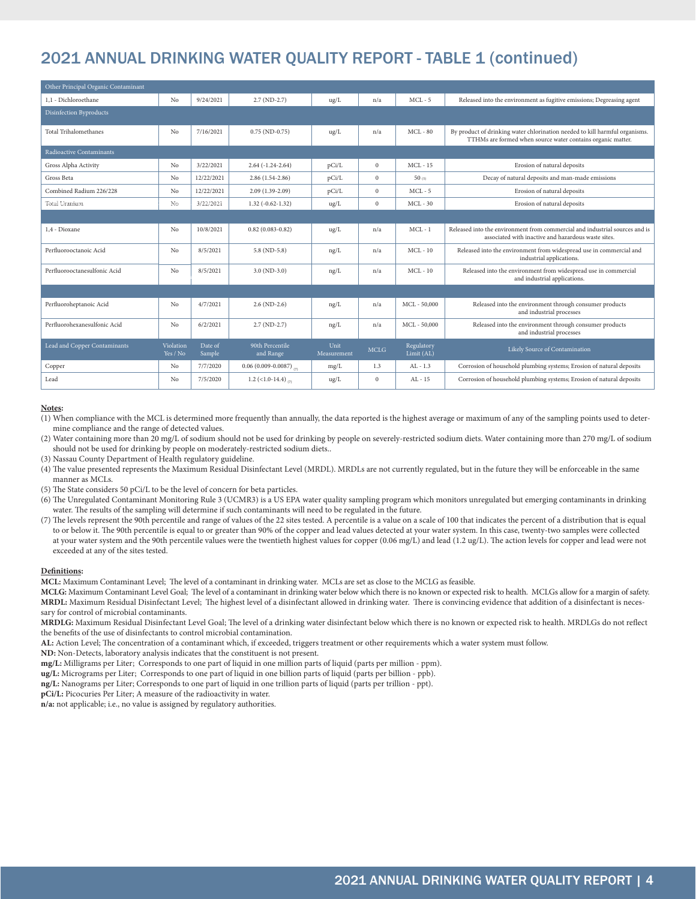## 2021 ANNUAL DRINKING WATER QUALITY REPORT - TABLE 1 (continued)

| Other Principal Organic Contaminant |                       |                   |                                       |                     |              |                          |                                                                                                                                            |  |  |  |  |  |
|-------------------------------------|-----------------------|-------------------|---------------------------------------|---------------------|--------------|--------------------------|--------------------------------------------------------------------------------------------------------------------------------------------|--|--|--|--|--|
| 1.1 - Dichloroethane                | No                    | 9/24/2021         | $2.7(ND-2.7)$                         | ug/L                | n/a          | $MCL - 5$                | Released into the environment as fugitive emissions; Degreasing agent                                                                      |  |  |  |  |  |
| <b>Disinfection Byproducts</b>      |                       |                   |                                       |                     |              |                          |                                                                                                                                            |  |  |  |  |  |
| Total Trihalomethanes               | No                    | 7/16/2021         | $0.75$ (ND-0.75)                      | ug/L                | n/a          | $MCL - 80$               | By product of drinking water chlorination needed to kill harmful organisms.<br>TTHMs are formed when source water contains organic matter. |  |  |  |  |  |
| Radioactive Contaminants            |                       |                   |                                       |                     |              |                          |                                                                                                                                            |  |  |  |  |  |
| Gross Alpha Activity                | No                    | 3/22/2021         | $2.64(-1.24-2.64)$                    | pCi/L               | $\bf{0}$     | $MCL - 15$               | Erosion of natural deposits                                                                                                                |  |  |  |  |  |
| Gross Beta                          | No                    | 12/22/2021        | $2.86(1.54-2.86)$                     | pCi/L               | $\mathbf{0}$ | 50(5)                    | Decay of natural deposits and man-made emissions                                                                                           |  |  |  |  |  |
| Combined Radium 226/228             | No                    | 12/22/2021        | $2.09(1.39-2.09)$                     | pCi/L               | $\mathbf{0}$ | $MCL - 5$                | Erosion of natural deposits                                                                                                                |  |  |  |  |  |
| Total Uranium                       | No                    | 3/22/2021         | $1.32(-0.62-1.32)$                    | $\text{ug/L}$       | $\mathbf{0}$ | $MCL - 30$               | Erosion of natural deposits                                                                                                                |  |  |  |  |  |
|                                     |                       |                   |                                       |                     |              |                          |                                                                                                                                            |  |  |  |  |  |
| 1.4 - Dioxane                       | No                    | 10/8/2021         | $0.82$ (0.083-0.82)                   | $\text{ug/L}$       | n/a          | $MCL - 1$                | Released into the environment from commercial and industrial sources and is<br>associated with inactive and hazardous waste sites.         |  |  |  |  |  |
| Perfluorooctanoic Acid              | No                    | 8/5/2021          | $5.8(ND-5.8)$                         | ng/L                | n/a          | $MCL - 10$               | Released into the environment from widespread use in commercial and<br>industrial applications.                                            |  |  |  |  |  |
| Perfluorooctanesulfonic Acid        | No                    | 8/5/2021          | $3.0 (ND-3.0)$                        | ng/L                | n/a          | $MCL - 10$               | Released into the environment from widespread use in commercial<br>and industrial applications.                                            |  |  |  |  |  |
|                                     |                       |                   |                                       |                     |              |                          |                                                                                                                                            |  |  |  |  |  |
| Perfluoroheptanoic Acid             | No                    | 4/7/2021          | $2.6(ND-2.6)$                         | ng/L                | n/a          | MCL-50,000               | Released into the environment through consumer products<br>and industrial processes                                                        |  |  |  |  |  |
| Perfluorohexanesulfonic Acid        | No                    | 6/2/2021          | $2.7 (ND-2.7)$                        | ng/L                | n/a          | MCL - 50,000             | Released into the environment through consumer products<br>and industrial processes                                                        |  |  |  |  |  |
| Lead and Copper Contaminants        | Violation<br>Yes / No | Date of<br>Sample | 90th Percentile<br>and Range          | Unit<br>Measurement | <b>MCLG</b>  | Regulatory<br>Limit (AL) | Likely Source of Contamination                                                                                                             |  |  |  |  |  |
| Copper                              | No                    | 7/7/2020          | $0.06(0.009 - 0.0087)$ <sub>(7)</sub> | mg/L                | 1.3          | $AL - 1.3$               | Corrosion of household plumbing systems; Erosion of natural deposits                                                                       |  |  |  |  |  |
| Lead                                | No                    | 7/5/2020          | 1.2 (<1.0-14.4) $\ldots$              | $\text{ug/L}$       | $\mathbf{0}$ | $AL - 15$                | Corrosion of household plumbing systems; Erosion of natural deposits                                                                       |  |  |  |  |  |

#### **Notes:**

(1) When compliance with the MCL is determined more frequently than annually, the data reported is the highest average or maximum of any of the sampling points used to determine compliance and the range of detected values.

(2) Water containing more than 20 mg/L of sodium should not be used for drinking by people on severely-restricted sodium diets. Water containing more than 270 mg/L of sodium should not be used for drinking by people on moderately-restricted sodium diets..

(3) Nassau County Department of Health regulatory guideline.

- (4) The value presented represents the Maximum Residual Disinfectant Level (MRDL). MRDLs are not currently regulated, but in the future they will be enforceable in the same manner as MCLs.
- (5) The State considers 50 pCi/L to be the level of concern for beta particles.
- (6) The Unregulated Contaminant Monitoring Rule 3 (UCMR3) is a US EPA water quality sampling program which monitors unregulated but emerging contaminants in drinking water. The results of the sampling will determine if such contaminants will need to be regulated in the future.
- (7) The levels represent the 90th percentile and range of values of the 22 sites tested. A percentile is a value on a scale of 100 that indicates the percent of a distribution that is equal to or below it. The 90th percentile is equal to or greater than 90% of the copper and lead values detected at your water system. In this case, twenty-two samples were collected at your water system and the 90th percentile values were the twentieth highest values for copper (0.06 mg/L) and lead (1.2 ug/L). The action levels for copper and lead were not exceeded at any of the sites tested.

#### **Definitions:**

**MCL:** Maximum Contaminant Level; The level of a contaminant in drinking water. MCLs are set as close to the MCLG as feasible.

**MCLG:** Maximum Contaminant Level Goal; The level of a contaminant in drinking water below which there is no known or expected risk to health. MCLGs allow for a margin of safety. **MRDL:** Maximum Residual Disinfectant Level; The highest level of a disinfectant allowed in drinking water. There is convincing evidence that addition of a disinfectant is necessary for control of microbial contaminants.

**MRDLG:** Maximum Residual Disinfectant Level Goal; The level of a drinking water disinfectant below which there is no known or expected risk to health. MRDLGs do not reflect the benefits of the use of disinfectants to control microbial contamination.

**AL:** Action Level; The concentration of a contaminant which, if exceeded, triggers treatment or other requirements which a water system must follow.

**ND:** Non-Detects, laboratory analysis indicates that the constituent is not present.

**mg/L:** Milligrams per Liter; Corresponds to one part of liquid in one million parts of liquid (parts per million - ppm).

**ug/L:** Micrograms per Liter; Corresponds to one part of liquid in one billion parts of liquid (parts per billion - ppb).

**ng/L:** Nanograms per Liter; Corresponds to one part of liquid in one trillion parts of liquid (parts per trillion - ppt).

**pCi/L:** Picocuries Per Liter; A measure of the radioactivity in water.

**n/a:** not applicable; i.e., no value is assigned by regulatory authorities.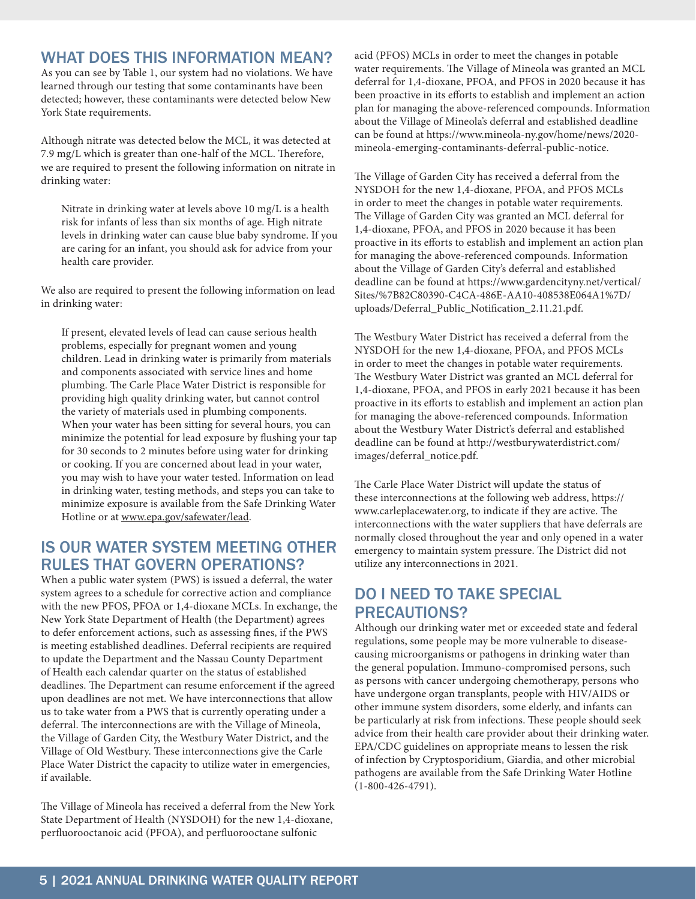#### WHAT DOES THIS INFORMATION MEAN?

As you can see by Table 1, our system had no violations. We have learned through our testing that some contaminants have been detected; however, these contaminants were detected below New York State requirements.

Although nitrate was detected below the MCL, it was detected at 7.9 mg/L which is greater than one-half of the MCL. Therefore, we are required to present the following information on nitrate in drinking water:

Nitrate in drinking water at levels above 10 mg/L is a health risk for infants of less than six months of age. High nitrate levels in drinking water can cause blue baby syndrome. If you are caring for an infant, you should ask for advice from your health care provider.

We also are required to present the following information on lead in drinking water:

If present, elevated levels of lead can cause serious health problems, especially for pregnant women and young children. Lead in drinking water is primarily from materials and components associated with service lines and home plumbing. The Carle Place Water District is responsible for providing high quality drinking water, but cannot control the variety of materials used in plumbing components. When your water has been sitting for several hours, you can minimize the potential for lead exposure by flushing your tap for 30 seconds to 2 minutes before using water for drinking or cooking. If you are concerned about lead in your water, you may wish to have your water tested. Information on lead in drinking water, testing methods, and steps you can take to minimize exposure is available from the Safe Drinking Water Hotline or at www.epa.gov/safewater/lead.

#### IS OUR WATER SYSTEM MEETING OTHER RULES THAT GOVERN OPERATIONS?

When a public water system (PWS) is issued a deferral, the water system agrees to a schedule for corrective action and compliance with the new PFOS, PFOA or 1,4-dioxane MCLs. In exchange, the New York State Department of Health (the Department) agrees to defer enforcement actions, such as assessing fines, if the PWS is meeting established deadlines. Deferral recipients are required to update the Department and the Nassau County Department of Health each calendar quarter on the status of established deadlines. The Department can resume enforcement if the agreed upon deadlines are not met. We have interconnections that allow us to take water from a PWS that is currently operating under a deferral. The interconnections are with the Village of Mineola, the Village of Garden City, the Westbury Water District, and the Village of Old Westbury. These interconnections give the Carle Place Water District the capacity to utilize water in emergencies, if available.

The Village of Mineola has received a deferral from the New York State Department of Health (NYSDOH) for the new 1,4-dioxane, perfluorooctanoic acid (PFOA), and perfluorooctane sulfonic

acid (PFOS) MCLs in order to meet the changes in potable water requirements. The Village of Mineola was granted an MCL deferral for 1,4-dioxane, PFOA, and PFOS in 2020 because it has been proactive in its efforts to establish and implement an action plan for managing the above-referenced compounds. Information about the Village of Mineola's deferral and established deadline can be found at https://www.mineola-ny.gov/home/news/2020 mineola-emerging-contaminants-deferral-public-notice.

The Village of Garden City has received a deferral from the NYSDOH for the new 1,4-dioxane, PFOA, and PFOS MCLs in order to meet the changes in potable water requirements. The Village of Garden City was granted an MCL deferral for 1,4-dioxane, PFOA, and PFOS in 2020 because it has been proactive in its efforts to establish and implement an action plan for managing the above-referenced compounds. Information about the Village of Garden City's deferral and established deadline can be found at https://www.gardencityny.net/vertical/ Sites/%7B82C80390-C4CA-486E-AA10-408538E064A1%7D/ uploads/Deferral\_Public\_Notification\_2.11.21.pdf.

The Westbury Water District has received a deferral from the NYSDOH for the new 1,4-dioxane, PFOA, and PFOS MCLs in order to meet the changes in potable water requirements. The Westbury Water District was granted an MCL deferral for 1,4-dioxane, PFOA, and PFOS in early 2021 because it has been proactive in its efforts to establish and implement an action plan for managing the above-referenced compounds. Information about the Westbury Water District's deferral and established deadline can be found at http://westburywaterdistrict.com/ images/deferral\_notice.pdf.

The Carle Place Water District will update the status of these interconnections at the following web address, https:// www.carleplacewater.org, to indicate if they are active. The interconnections with the water suppliers that have deferrals are normally closed throughout the year and only opened in a water emergency to maintain system pressure. The District did not utilize any interconnections in 2021.

#### DO I NEED TO TAKE SPECIAL PRECAUTIONS?

Although our drinking water met or exceeded state and federal regulations, some people may be more vulnerable to diseasecausing microorganisms or pathogens in drinking water than the general population. Immuno-compromised persons, such as persons with cancer undergoing chemotherapy, persons who have undergone organ transplants, people with HIV/AIDS or other immune system disorders, some elderly, and infants can be particularly at risk from infections. These people should seek advice from their health care provider about their drinking water. EPA/CDC guidelines on appropriate means to lessen the risk of infection by Cryptosporidium, Giardia, and other microbial pathogens are available from the Safe Drinking Water Hotline (1-800-426-4791).